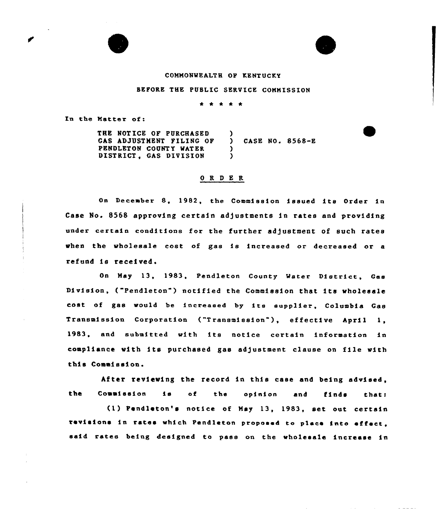# COMMONWEALTH OP KENTUCKY

### SEPORE THE PUBLIC SERVICE COMMISSION

\* \* \* \* \*

In the Natter of:

THE NOT ICE OF PURCHASED GAS ADJUSTMENT FILING OF PENDLETON COUNTY MATER DISTRICT, GAS DIVISION  $\mathbf{\Delta}$ ) CASE NO. 8568-E )  $\lambda$ 

### 0 R <sup>D</sup> E R

On December 8, 1982, the Commission issued its Order in Case No. 8568 approving certain adjustments in rates and providing under certain conditions for the further adjustment of such rates when the wholesale cost of gas is increased or decreased or <sup>a</sup> refund is received.

On May 13, 1983, Pendleton County Water District, Gas Division, ("Pendleton") notified the Commission that its wholesale cost of gas would be increased by its eupplier, Columbia Gas Transmission Corporation ("Transmission" ), effective April 1, 1983, and submitted with its notice certain information in compliance with its purchased gas adjustment clause on file with this Commission.

After reviewing the record in this case and being advised, the Commission is of the opinion and finds that

 $(1)$  Pendleton's notice of May 13, 1983, set out certain revisions in rates which Pendleton proposed to place into effect, said rates being designed to pass on the wholesale increase in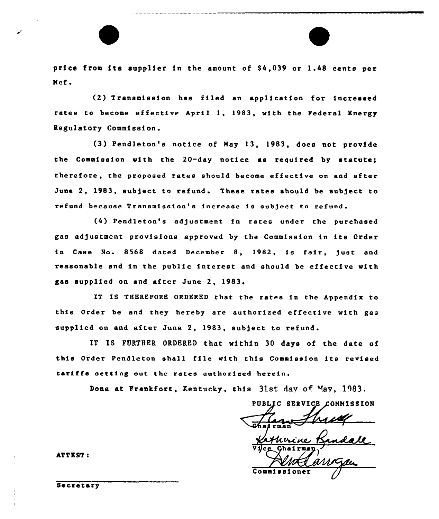

price from its supplier in the amount of \$4,039 or 1.48 cents per Mcf.

(2) Transmission has filed an application for increased rates to become effective April 1, 1983, with the Federal Energy Regulatory Commission.

(3) Pendleton's notice of May 13, 1983, does not provide the Commission with the 20-day notice as required by statute; therefore, the proposed rates should become effective on and after June 2, 1983, subject to refund. These rates should be subject to refund because Transmission's increase is sub)ect to refund.

(4) Pendleton's adjustment in rates under the purchased gas adjustment provisions approved by the Commission in its Order in Case No. 8568 dated December 8, 1982, is fair, just and reasonable and in the public interest and should be effective with gas supplied on and after June 2, 1983.

IT IS THEREFORE ORDERED that the rates in the Appendix to this Order be and they hereby are authorized effective with gas supplied on and after June 2, 1983, subject to refund.

IT IS FURTHER ORDERED that within 30 days of the date of this Order Pendleton shall file with this Commission its revised tariffs setting out the rates authorized herein.

Done at Frankfort, Kentucky, this 31st day of May, 1983.

PUBLIC SERVICE COMMISSION , *ס*מ'נ

Vice Chairm 1 Commissione

ATTEST t

Secretary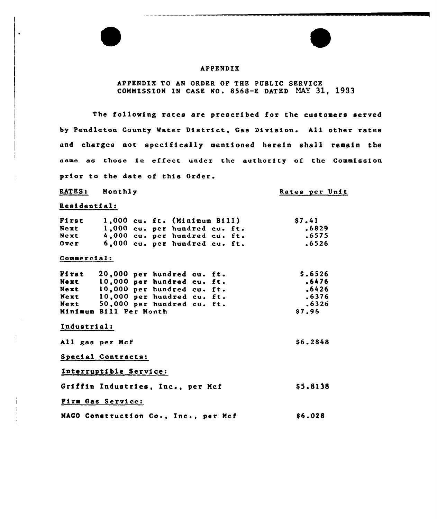# APPENDIX

### APPENDIX TO AN ORDER OP THE PUBLIC SERVICE COMMISSION IN CASE NO. 8568-E DATED NAY 31, 1933

The following rates are prescribed for the customers served by Pendleton County Mater District, Gas Division. All other rates and charges not specifically mentioned herein shall remain the same as those in effect under the authority of the Commission prior to the date of this Order.

RATES: Monthly

Rates per Unit

\$ 6.2848

Residential:

| First |  | 1,000 cu. ft. (Minimum Bill)  | <b>S7.41</b> |
|-------|--|-------------------------------|--------------|
| Next  |  | 1,000 cu. per hundred cu. ft. | .6829        |
| Next  |  | 4,000 cu. per hundred cu. ft. | .6575        |
| 0ver  |  | 6.000 cu. per hundred cu. ft. | .6526        |

#### Commercial:

| First | 20,000 per hundred cu. ft. | \$.6526 |  |  |
|-------|----------------------------|---------|--|--|
| Next  | 10,000 per hundred cu. ft. | .6476   |  |  |
| Next  | 10,000 per hundred cu. ft. | .6426   |  |  |
| Next  | 10,000 per hundred cu. ft. | .6376   |  |  |
| Next  | 50,000 per hundred cu. ft. | .6326   |  |  |
|       | Minimum Bill Per Month     | \$7.96  |  |  |

Industrial:

All gas per Mcf

Special Contracts:

Interruptible Service:

Griffin Industries, Inc., per Mcf \$ 5.8138

### Pira Gas Service:

MAGO Construction Co., Inc., par Mcf 86.028